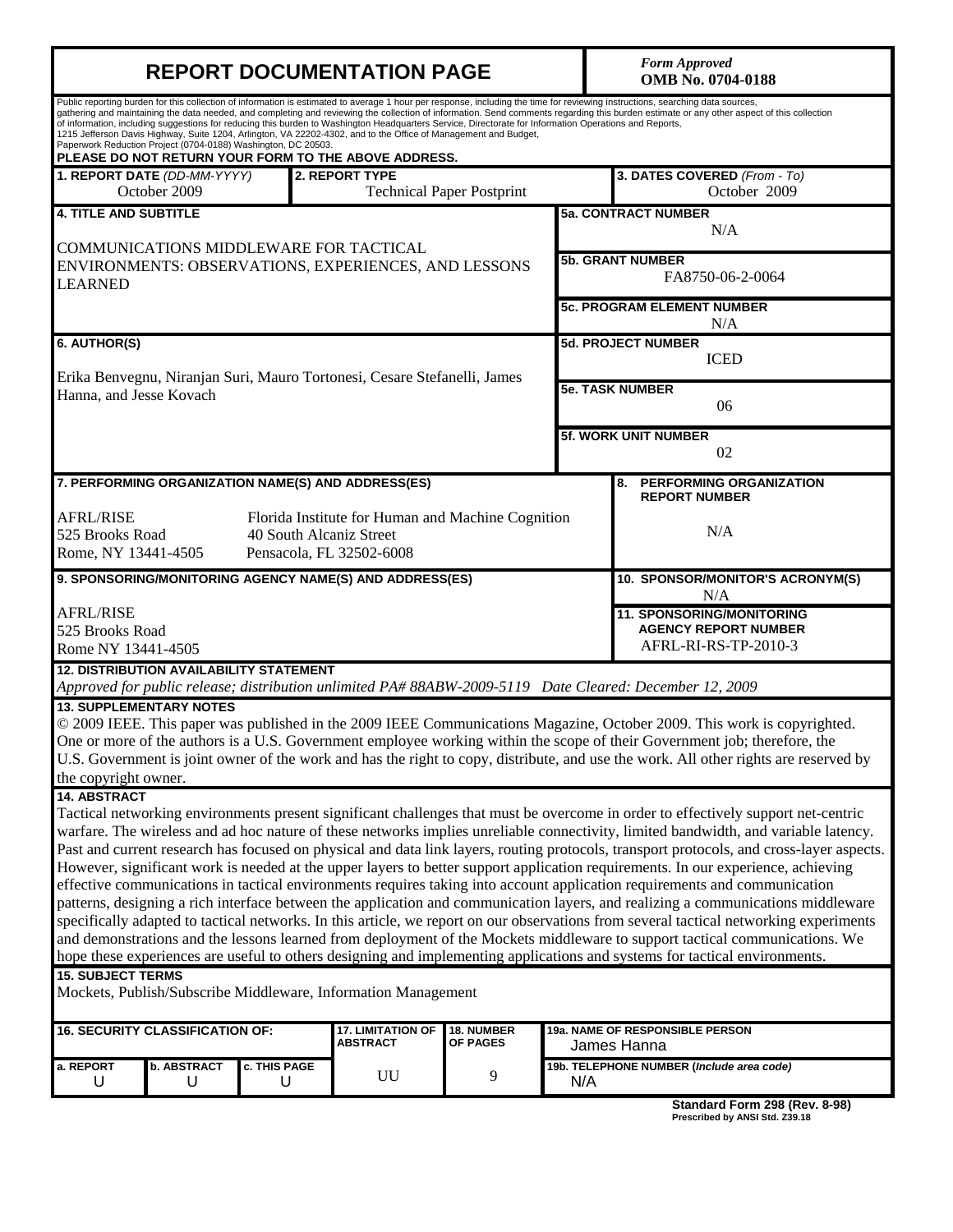| <b>REPORT DOCUMENTATION PAGE</b>                                                                                                                                                                                                                                                                                                                                                                                                                                                                                                                                                                                                                                                                                                                                                                                                                                                                                                                                                                                                                                                                                                                                                                                                                        |                                             |                        |   | <b>Form Approved</b><br>OMB No. 0704-0188        |                                                                                  |
|---------------------------------------------------------------------------------------------------------------------------------------------------------------------------------------------------------------------------------------------------------------------------------------------------------------------------------------------------------------------------------------------------------------------------------------------------------------------------------------------------------------------------------------------------------------------------------------------------------------------------------------------------------------------------------------------------------------------------------------------------------------------------------------------------------------------------------------------------------------------------------------------------------------------------------------------------------------------------------------------------------------------------------------------------------------------------------------------------------------------------------------------------------------------------------------------------------------------------------------------------------|---------------------------------------------|------------------------|---|--------------------------------------------------|----------------------------------------------------------------------------------|
| Public reporting burden for this collection of information is estimated to average 1 hour per response, including the time for reviewing instructions, searching data sources,<br>gathering and maintaining the data needed, and completing and reviewing the collection of information. Send comments regarding this burden estimate or any other aspect of this collection<br>of information, including suggestions for reducing this burden to Washington Headquarters Service, Directorate for Information Operations and Reports,<br>1215 Jefferson Davis Highway, Suite 1204, Arlington, VA 22202-4302, and to the Office of Management and Budget,<br>Paperwork Reduction Project (0704-0188) Washington, DC 20503.<br>PLEASE DO NOT RETURN YOUR FORM TO THE ABOVE ADDRESS.                                                                                                                                                                                                                                                                                                                                                                                                                                                                      |                                             |                        |   |                                                  |                                                                                  |
| 1. REPORT DATE (DD-MM-YYYY)<br>2. REPORT TYPE<br>October 2009<br><b>Technical Paper Postprint</b>                                                                                                                                                                                                                                                                                                                                                                                                                                                                                                                                                                                                                                                                                                                                                                                                                                                                                                                                                                                                                                                                                                                                                       |                                             |                        |   | 3. DATES COVERED (From - To)<br>October 2009     |                                                                                  |
| <b>4. TITLE AND SUBTITLE</b>                                                                                                                                                                                                                                                                                                                                                                                                                                                                                                                                                                                                                                                                                                                                                                                                                                                                                                                                                                                                                                                                                                                                                                                                                            |                                             |                        |   |                                                  | <b>5a. CONTRACT NUMBER</b>                                                       |
|                                                                                                                                                                                                                                                                                                                                                                                                                                                                                                                                                                                                                                                                                                                                                                                                                                                                                                                                                                                                                                                                                                                                                                                                                                                         |                                             |                        |   | N/A                                              |                                                                                  |
| COMMUNICATIONS MIDDLEWARE FOR TACTICAL<br>ENVIRONMENTS: OBSERVATIONS, EXPERIENCES, AND LESSONS<br><b>LEARNED</b>                                                                                                                                                                                                                                                                                                                                                                                                                                                                                                                                                                                                                                                                                                                                                                                                                                                                                                                                                                                                                                                                                                                                        |                                             |                        |   | <b>5b. GRANT NUMBER</b><br>FA8750-06-2-0064      |                                                                                  |
|                                                                                                                                                                                                                                                                                                                                                                                                                                                                                                                                                                                                                                                                                                                                                                                                                                                                                                                                                                                                                                                                                                                                                                                                                                                         |                                             |                        |   | 5c. PROGRAM ELEMENT NUMBER                       |                                                                                  |
|                                                                                                                                                                                                                                                                                                                                                                                                                                                                                                                                                                                                                                                                                                                                                                                                                                                                                                                                                                                                                                                                                                                                                                                                                                                         |                                             |                        |   |                                                  | N/A                                                                              |
| 6. AUTHOR(S)<br>Erika Benvegnu, Niranjan Suri, Mauro Tortonesi, Cesare Stefanelli, James                                                                                                                                                                                                                                                                                                                                                                                                                                                                                                                                                                                                                                                                                                                                                                                                                                                                                                                                                                                                                                                                                                                                                                |                                             |                        |   | 5d. PROJECT NUMBER<br><b>ICED</b>                |                                                                                  |
| Hanna, and Jesse Kovach                                                                                                                                                                                                                                                                                                                                                                                                                                                                                                                                                                                                                                                                                                                                                                                                                                                                                                                                                                                                                                                                                                                                                                                                                                 |                                             |                        |   | <b>5e. TASK NUMBER</b><br>06                     |                                                                                  |
|                                                                                                                                                                                                                                                                                                                                                                                                                                                                                                                                                                                                                                                                                                                                                                                                                                                                                                                                                                                                                                                                                                                                                                                                                                                         |                                             |                        |   |                                                  | <b>5f. WORK UNIT NUMBER</b><br>02                                                |
| 7. PERFORMING ORGANIZATION NAME(S) AND ADDRESS(ES)                                                                                                                                                                                                                                                                                                                                                                                                                                                                                                                                                                                                                                                                                                                                                                                                                                                                                                                                                                                                                                                                                                                                                                                                      |                                             |                        |   | <b>PERFORMING ORGANIZATION</b><br>8.             |                                                                                  |
| <b>AFRL/RISE</b>                                                                                                                                                                                                                                                                                                                                                                                                                                                                                                                                                                                                                                                                                                                                                                                                                                                                                                                                                                                                                                                                                                                                                                                                                                        |                                             |                        |   |                                                  | <b>REPORT NUMBER</b>                                                             |
| Florida Institute for Human and Machine Cognition<br>525 Brooks Road<br>40 South Alcaniz Street                                                                                                                                                                                                                                                                                                                                                                                                                                                                                                                                                                                                                                                                                                                                                                                                                                                                                                                                                                                                                                                                                                                                                         |                                             |                        |   |                                                  | N/A                                                                              |
| Rome, NY 13441-4505<br>Pensacola, FL 32502-6008                                                                                                                                                                                                                                                                                                                                                                                                                                                                                                                                                                                                                                                                                                                                                                                                                                                                                                                                                                                                                                                                                                                                                                                                         |                                             |                        |   |                                                  |                                                                                  |
| 9. SPONSORING/MONITORING AGENCY NAME(S) AND ADDRESS(ES)                                                                                                                                                                                                                                                                                                                                                                                                                                                                                                                                                                                                                                                                                                                                                                                                                                                                                                                                                                                                                                                                                                                                                                                                 |                                             |                        |   |                                                  | 10. SPONSOR/MONITOR'S ACRONYM(S)<br>N/A                                          |
| <b>AFRL/RISE</b><br>525 Brooks Road<br>Rome NY 13441-4505                                                                                                                                                                                                                                                                                                                                                                                                                                                                                                                                                                                                                                                                                                                                                                                                                                                                                                                                                                                                                                                                                                                                                                                               |                                             |                        |   |                                                  | 11. SPONSORING/MONITORING<br><b>AGENCY REPORT NUMBER</b><br>AFRL-RI-RS-TP-2010-3 |
| <b>12. DISTRIBUTION AVAILABILITY STATEMENT</b>                                                                                                                                                                                                                                                                                                                                                                                                                                                                                                                                                                                                                                                                                                                                                                                                                                                                                                                                                                                                                                                                                                                                                                                                          |                                             |                        |   |                                                  |                                                                                  |
| Approved for public release; distribution unlimited PA# 88ABW-2009-5119 Date Cleared: December 12, 2009<br><b>13. SUPPLEMENTARY NOTES</b>                                                                                                                                                                                                                                                                                                                                                                                                                                                                                                                                                                                                                                                                                                                                                                                                                                                                                                                                                                                                                                                                                                               |                                             |                        |   |                                                  |                                                                                  |
| © 2009 IEEE. This paper was published in the 2009 IEEE Communications Magazine, October 2009. This work is copyrighted.<br>One or more of the authors is a U.S. Government employee working within the scope of their Government job; therefore, the<br>U.S. Government is joint owner of the work and has the right to copy, distribute, and use the work. All other rights are reserved by<br>the copyright owner.                                                                                                                                                                                                                                                                                                                                                                                                                                                                                                                                                                                                                                                                                                                                                                                                                                    |                                             |                        |   |                                                  |                                                                                  |
| <b>14. ABSTRACT</b><br>Tactical networking environments present significant challenges that must be overcome in order to effectively support net-centric<br>warfare. The wireless and ad hoc nature of these networks implies unreliable connectivity, limited bandwidth, and variable latency.<br>Past and current research has focused on physical and data link layers, routing protocols, transport protocols, and cross-layer aspects.<br>However, significant work is needed at the upper layers to better support application requirements. In our experience, achieving<br>effective communications in tactical environments requires taking into account application requirements and communication<br>patterns, designing a rich interface between the application and communication layers, and realizing a communications middleware<br>specifically adapted to tactical networks. In this article, we report on our observations from several tactical networking experiments<br>and demonstrations and the lessons learned from deployment of the Mockets middleware to support tactical communications. We<br>hope these experiences are useful to others designing and implementing applications and systems for tactical environments. |                                             |                        |   |                                                  |                                                                                  |
| <b>15. SUBJECT TERMS</b><br>Mockets, Publish/Subscribe Middleware, Information Management                                                                                                                                                                                                                                                                                                                                                                                                                                                                                                                                                                                                                                                                                                                                                                                                                                                                                                                                                                                                                                                                                                                                                               |                                             |                        |   |                                                  |                                                                                  |
| <b>16. SECURITY CLASSIFICATION OF:</b>                                                                                                                                                                                                                                                                                                                                                                                                                                                                                                                                                                                                                                                                                                                                                                                                                                                                                                                                                                                                                                                                                                                                                                                                                  | <b>17. LIMITATION OF</b><br><b>ABSTRACT</b> | 18. NUMBER<br>OF PAGES |   | 19a. NAME OF RESPONSIBLE PERSON<br>James Hanna   |                                                                                  |
| a. REPORT<br><b>b. ABSTRACT</b><br>U<br>U                                                                                                                                                                                                                                                                                                                                                                                                                                                                                                                                                                                                                                                                                                                                                                                                                                                                                                                                                                                                                                                                                                                                                                                                               | c. THIS PAGE<br>U                           | UU                     | 9 | 19b. TELEPHONE NUMBER (Include area code)<br>N/A |                                                                                  |

**Standard Form 298 (Rev. 8-98) Prescribed by ANSI Std. Z39.18**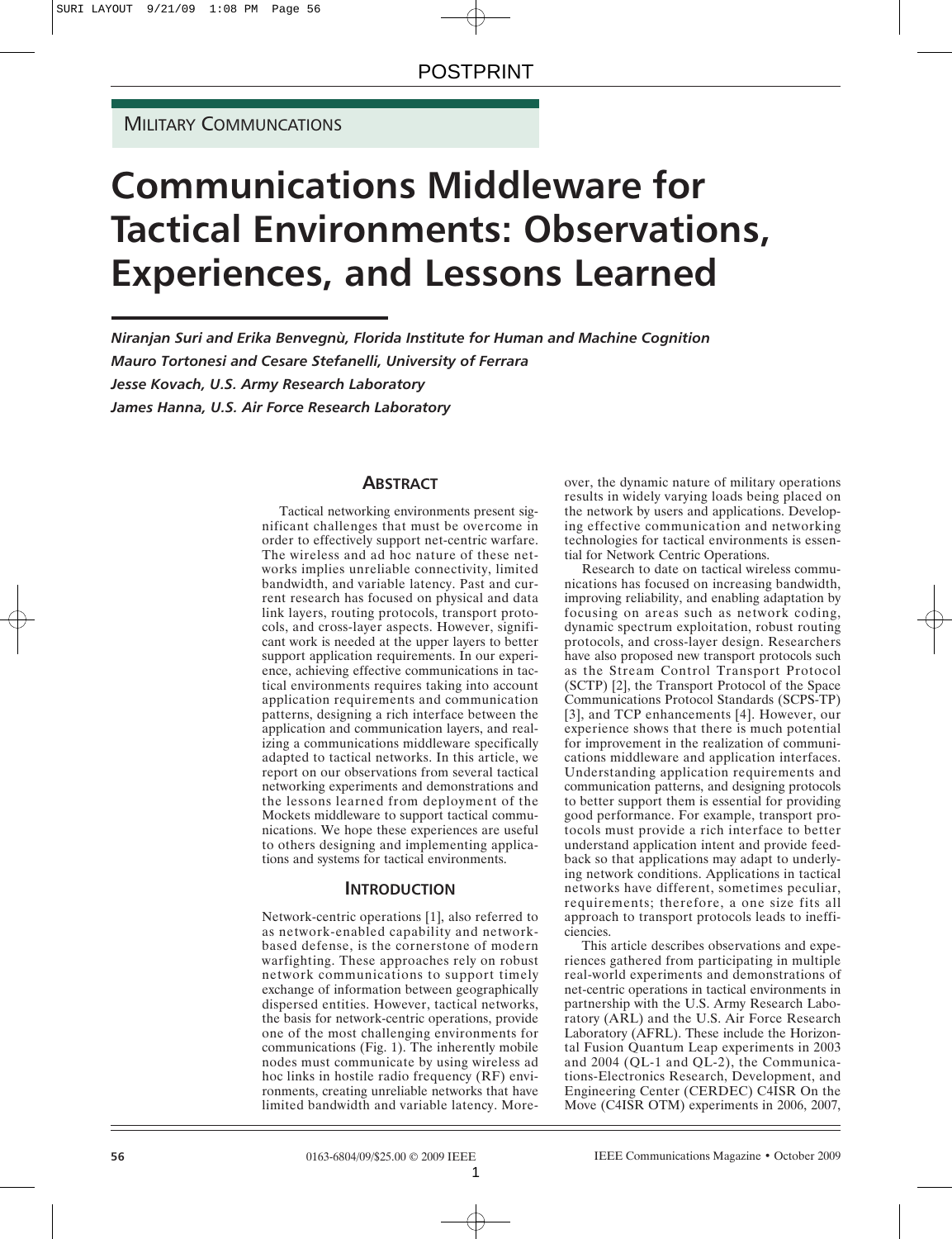# MILITARY COMMUNCATIONS

# **Communications Middleware for Tactical Environments: Observations, Experiences, and Lessons Learned**

*Niranjan Suri and Erika Benvegnù, Florida Institute for Human and Machine Cognition Mauro Tortonesi and Cesare Stefanelli, University of Ferrara Jesse Kovach, U.S. Army Research Laboratory James Hanna, U.S. Air Force Research Laboratory*

# **ABSTRACT**

Tactical networking environments present significant challenges that must be overcome in order to effectively support net-centric warfare. The wireless and ad hoc nature of these networks implies unreliable connectivity, limited bandwidth, and variable latency. Past and current research has focused on physical and data link layers, routing protocols, transport protocols, and cross-layer aspects. However, significant work is needed at the upper layers to better support application requirements. In our experience, achieving effective communications in tactical environments requires taking into account application requirements and communication patterns, designing a rich interface between the application and communication layers, and realizing a communications middleware specifically adapted to tactical networks. In this article, we report on our observations from several tactical networking experiments and demonstrations and the lessons learned from deployment of the Mockets middleware to support tactical communications. We hope these experiences are useful to others designing and implementing applications and systems for tactical environments.

## **INTRODUCTION**

Network-centric operations [1], also referred to as network-enabled capability and networkbased defense, is the cornerstone of modern warfighting. These approaches rely on robust network communications to support timely exchange of information between geographically dispersed entities. However, tactical networks, the basis for network-centric operations, provide one of the most challenging environments for communications (Fig. 1). The inherently mobile nodes must communicate by using wireless ad hoc links in hostile radio frequency (RF) environments, creating unreliable networks that have limited bandwidth and variable latency. Moreover, the dynamic nature of military operations results in widely varying loads being placed on the network by users and applications. Developing effective communication and networking technologies for tactical environments is essential for Network Centric Operations.

Research to date on tactical wireless communications has focused on increasing bandwidth, improving reliability, and enabling adaptation by focusing on areas such as network coding, dynamic spectrum exploitation, robust routing protocols, and cross-layer design. Researchers have also proposed new transport protocols such as the Stream Control Transport Protocol (SCTP) [2], the Transport Protocol of the Space Communications Protocol Standards (SCPS-TP) [3], and TCP enhancements [4]. However, our experience shows that there is much potential for improvement in the realization of communications middleware and application interfaces. Understanding application requirements and communication patterns, and designing protocols to better support them is essential for providing good performance. For example, transport protocols must provide a rich interface to better understand application intent and provide feedback so that applications may adapt to underlying network conditions. Applications in tactical networks have different, sometimes peculiar, requirements; therefore, a one size fits all approach to transport protocols leads to inefficiencies.

This article describes observations and experiences gathered from participating in multiple real-world experiments and demonstrations of net-centric operations in tactical environments in partnership with the U.S. Army Research Laboratory (ARL) and the U.S. Air Force Research Laboratory (AFRL). These include the Horizontal Fusion Quantum Leap experiments in 2003 and 2004 (QL-1 and QL-2), the Communications-Electronics Research, Development, and Engineering Center (CERDEC) C4ISR On the Move (C4ISR OTM) experiments in 2006, 2007,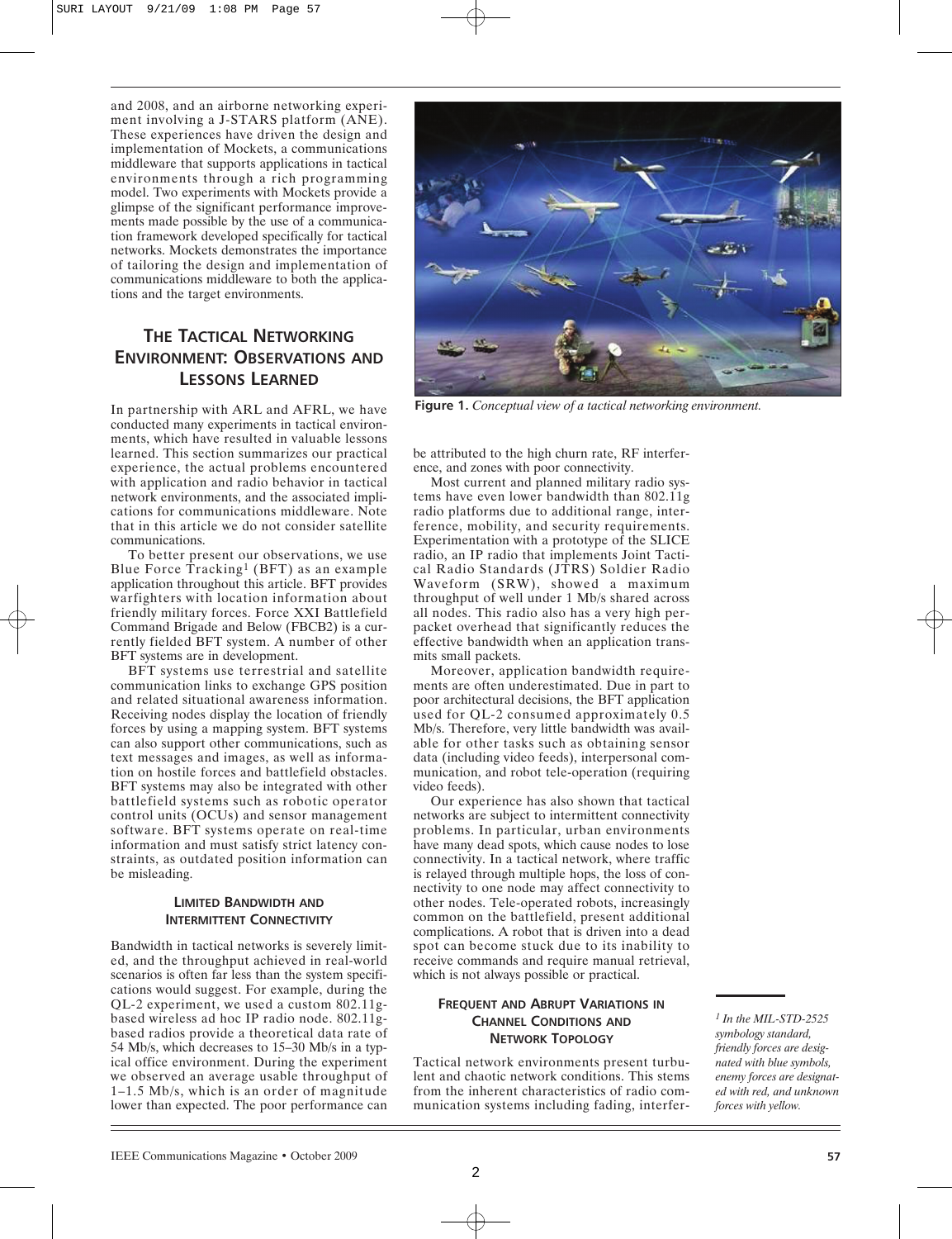and 2008, and an airborne networking experiment involving a J-STARS platform (ANE). These experiences have driven the design and implementation of Mockets, a communications middleware that supports applications in tactical environments through a rich programming model. Two experiments with Mockets provide a glimpse of the significant performance improvements made possible by the use of a communication framework developed specifically for tactical networks. Mockets demonstrates the importance of tailoring the design and implementation of communications middleware to both the applications and the target environments.

# **THE TACTICAL NETWORKING ENVIRONMENT: OBSERVATIONS AND LESSONS LEARNED**

In partnership with ARL and AFRL, we have conducted many experiments in tactical environments, which have resulted in valuable lessons learned. This section summarizes our practical experience, the actual problems encountered with application and radio behavior in tactical network environments, and the associated implications for communications middleware. Note that in this article we do not consider satellite communications.

To better present our observations, we use Blue Force  $Tracking<sup>1</sup>$  (BFT) as an example application throughout this article. BFT provides warfighters with location information about friendly military forces. Force XXI Battlefield Command Brigade and Below (FBCB2) is a currently fielded BFT system. A number of other BFT systems are in development.

BFT systems use terrestrial and satellite communication links to exchange GPS position and related situational awareness information. Receiving nodes display the location of friendly forces by using a mapping system. BFT systems can also support other communications, such as text messages and images, as well as information on hostile forces and battlefield obstacles. BFT systems may also be integrated with other battlefield systems such as robotic operator control units (OCUs) and sensor management software. BFT systems operate on real-time information and must satisfy strict latency constraints, as outdated position information can be misleading.

# **LIMITED BANDWIDTH AND INTERMITTENT CONNECTIVITY**

Bandwidth in tactical networks is severely limited, and the throughput achieved in real-world scenarios is often far less than the system specifications would suggest. For example, during the QL-2 experiment, we used a custom 802.11gbased wireless ad hoc IP radio node. 802.11gbased radios provide a theoretical data rate of 54 Mb/s, which decreases to 15–30 Mb/s in a typical office environment. During the experiment we observed an average usable throughput of 1–1.5 Mb/s, which is an order of magnitude lower than expected. The poor performance can



**Figure 1.** *Conceptual view of a tactical networking environment.*

be attributed to the high churn rate, RF interference, and zones with poor connectivity.

Most current and planned military radio systems have even lower bandwidth than 802.11g radio platforms due to additional range, interference, mobility, and security requirements. Experimentation with a prototype of the SLICE radio, an IP radio that implements Joint Tactical Radio Standards (JTRS) Soldier Radio Waveform (SRW), showed a maximum throughput of well under 1 Mb/s shared across all nodes. This radio also has a very high perpacket overhead that significantly reduces the effective bandwidth when an application transmits small packets.

Moreover, application bandwidth requirements are often underestimated. Due in part to poor architectural decisions, the BFT application used for QL-2 consumed approximately 0.5 Mb/s. Therefore, very little bandwidth was available for other tasks such as obtaining sensor data (including video feeds), interpersonal communication, and robot tele-operation (requiring video feeds).

Our experience has also shown that tactical networks are subject to intermittent connectivity problems. In particular, urban environments have many dead spots, which cause nodes to lose connectivity. In a tactical network, where traffic is relayed through multiple hops, the loss of connectivity to one node may affect connectivity to other nodes. Tele-operated robots, increasingly common on the battlefield, present additional complications. A robot that is driven into a dead spot can become stuck due to its inability to receive commands and require manual retrieval, which is not always possible or practical.

# **FREQUENT AND ABRUPT VARIATIONS IN CHANNEL CONDITIONS AND NETWORK TOPOLOGY**

Tactical network environments present turbulent and chaotic network conditions. This stems from the inherent characteristics of radio communication systems including fading, interfer-

*<sup>1</sup> In the MIL-STD-2525 symbology standard, friendly forces are designated with blue symbols, enemy forces are designated with red, and unknown forces with yellow.*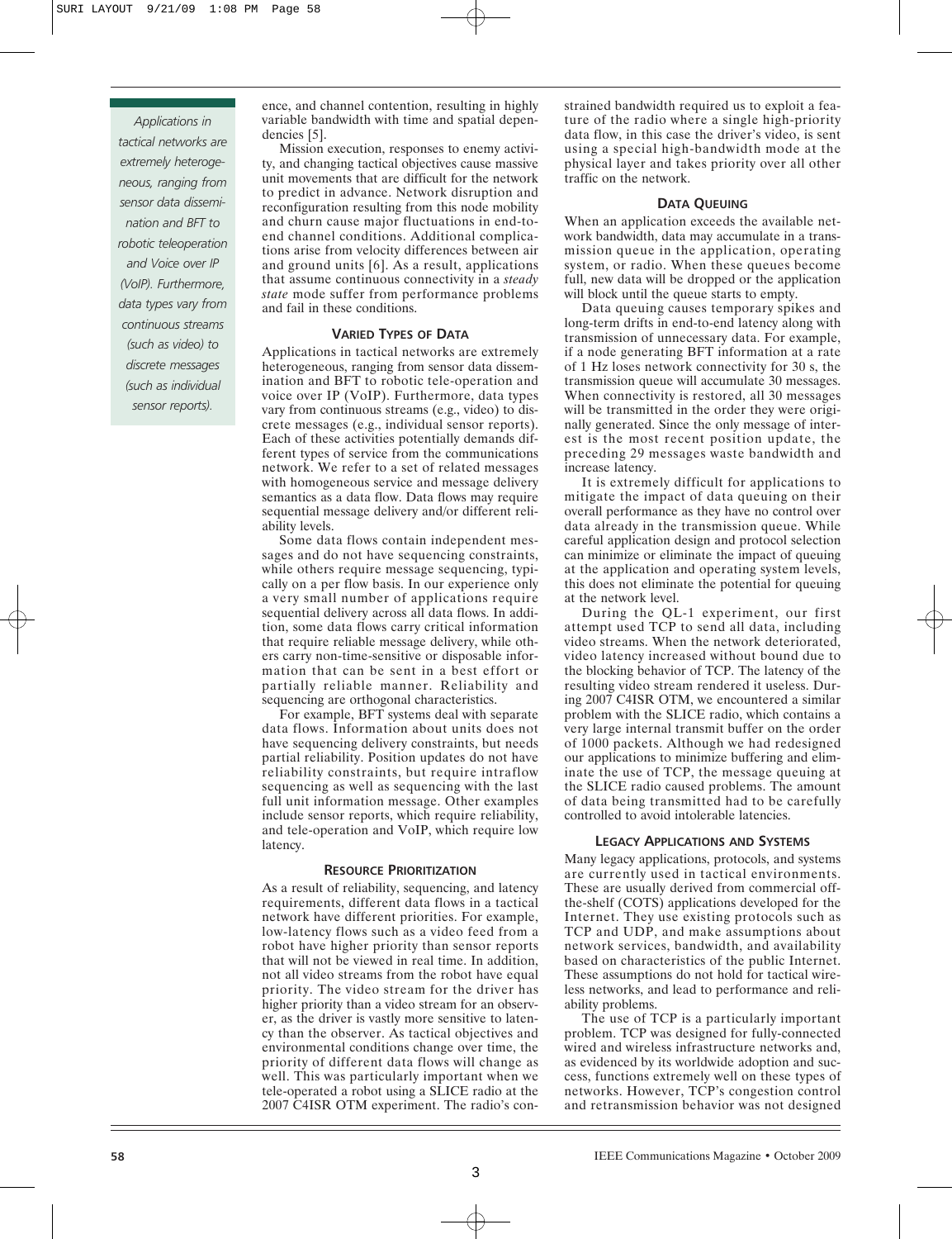*Applications in tactical networks are extremely heterogeneous, ranging from sensor data dissemination and BFT to robotic teleoperation and Voice over IP (VoIP). Furthermore, data types vary from continuous streams (such as video) to discrete messages (such as individual sensor reports).*

ence, and channel contention, resulting in highly variable bandwidth with time and spatial dependencies [5].

Mission execution, responses to enemy activity, and changing tactical objectives cause massive unit movements that are difficult for the network to predict in advance. Network disruption and reconfiguration resulting from this node mobility and churn cause major fluctuations in end-toend channel conditions. Additional complications arise from velocity differences between air and ground units [6]. As a result, applications that assume continuous connectivity in a *steady state* mode suffer from performance problems and fail in these conditions.

#### **VARIED TYPES OF DATA**

Applications in tactical networks are extremely heterogeneous, ranging from sensor data dissemination and BFT to robotic tele-operation and voice over IP (VoIP). Furthermore, data types vary from continuous streams (e.g., video) to discrete messages (e.g., individual sensor reports). Each of these activities potentially demands different types of service from the communications network. We refer to a set of related messages with homogeneous service and message delivery semantics as a data flow. Data flows may require sequential message delivery and/or different reliability levels.

Some data flows contain independent messages and do not have sequencing constraints, while others require message sequencing, typically on a per flow basis. In our experience only a very small number of applications require sequential delivery across all data flows. In addition, some data flows carry critical information that require reliable message delivery, while others carry non-time-sensitive or disposable information that can be sent in a best effort or partially reliable manner. Reliability and sequencing are orthogonal characteristics.

For example, BFT systems deal with separate data flows. Information about units does not have sequencing delivery constraints, but needs partial reliability. Position updates do not have reliability constraints, but require intraflow sequencing as well as sequencing with the last full unit information message. Other examples include sensor reports, which require reliability, and tele-operation and VoIP, which require low latency.

#### **RESOURCE PRIORITIZATION**

As a result of reliability, sequencing, and latency requirements, different data flows in a tactical network have different priorities. For example, low-latency flows such as a video feed from a robot have higher priority than sensor reports that will not be viewed in real time. In addition, not all video streams from the robot have equal priority. The video stream for the driver has higher priority than a video stream for an observer, as the driver is vastly more sensitive to latency than the observer. As tactical objectives and environmental conditions change over time, the priority of different data flows will change as well. This was particularly important when we tele-operated a robot using a SLICE radio at the 2007 C4ISR OTM experiment. The radio's constrained bandwidth required us to exploit a feature of the radio where a single high-priority data flow, in this case the driver's video, is sent using a special high-bandwidth mode at the physical layer and takes priority over all other traffic on the network.

## **DATA QUEUING**

When an application exceeds the available network bandwidth, data may accumulate in a transmission queue in the application, operating system, or radio. When these queues become full, new data will be dropped or the application will block until the queue starts to empty.

Data queuing causes temporary spikes and long-term drifts in end-to-end latency along with transmission of unnecessary data. For example, if a node generating BFT information at a rate of 1 Hz loses network connectivity for 30 s, the transmission queue will accumulate 30 messages. When connectivity is restored, all 30 messages will be transmitted in the order they were originally generated. Since the only message of interest is the most recent position update, the preceding 29 messages waste bandwidth and increase latency.

It is extremely difficult for applications to mitigate the impact of data queuing on their overall performance as they have no control over data already in the transmission queue. While careful application design and protocol selection can minimize or eliminate the impact of queuing at the application and operating system levels, this does not eliminate the potential for queuing at the network level.

During the QL-1 experiment, our first attempt used TCP to send all data, including video streams. When the network deteriorated, video latency increased without bound due to the blocking behavior of TCP. The latency of the resulting video stream rendered it useless. During 2007 C4ISR OTM, we encountered a similar problem with the SLICE radio, which contains a very large internal transmit buffer on the order of 1000 packets. Although we had redesigned our applications to minimize buffering and eliminate the use of TCP, the message queuing at the SLICE radio caused problems. The amount of data being transmitted had to be carefully controlled to avoid intolerable latencies.

## **LEGACY APPLICATIONS AND SYSTEMS**

Many legacy applications, protocols, and systems are currently used in tactical environments. These are usually derived from commercial offthe-shelf (COTS) applications developed for the Internet. They use existing protocols such as TCP and UDP, and make assumptions about network services, bandwidth, and availability based on characteristics of the public Internet. These assumptions do not hold for tactical wireless networks, and lead to performance and reliability problems.

The use of TCP is a particularly important problem. TCP was designed for fully-connected wired and wireless infrastructure networks and, as evidenced by its worldwide adoption and success, functions extremely well on these types of networks. However, TCP's congestion control and retransmission behavior was not designed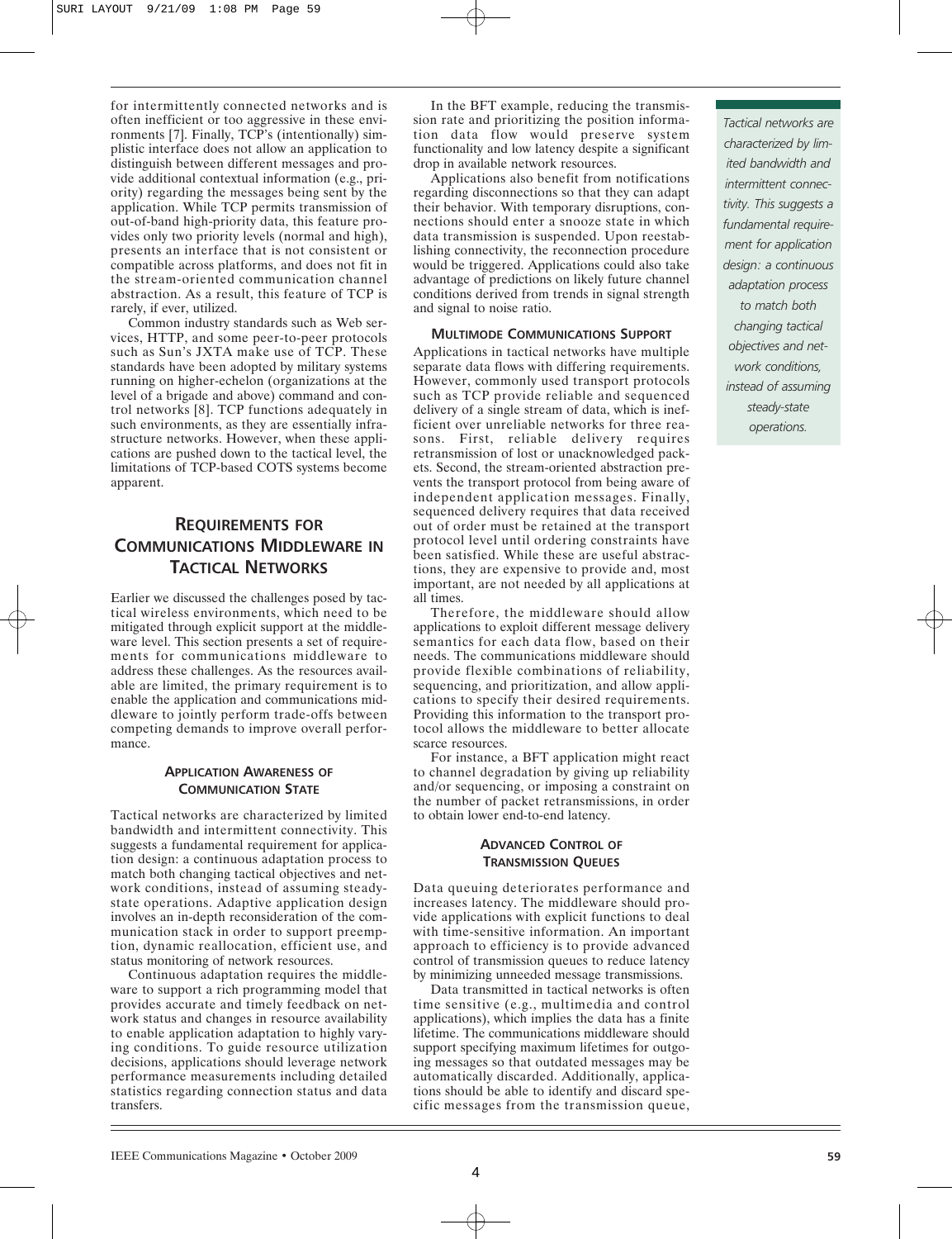for intermittently connected networks and is often inefficient or too aggressive in these environments [7]. Finally, TCP's (intentionally) simplistic interface does not allow an application to distinguish between different messages and provide additional contextual information (e.g., priority) regarding the messages being sent by the application. While TCP permits transmission of out-of-band high-priority data, this feature provides only two priority levels (normal and high), presents an interface that is not consistent or compatible across platforms, and does not fit in the stream-oriented communication channel abstraction. As a result, this feature of TCP is rarely, if ever, utilized.

Common industry standards such as Web services, HTTP, and some peer-to-peer protocols such as Sun's JXTA make use of TCP. These standards have been adopted by military systems running on higher-echelon (organizations at the level of a brigade and above) command and control networks [8]. TCP functions adequately in such environments, as they are essentially infrastructure networks. However, when these applications are pushed down to the tactical level, the limitations of TCP-based COTS systems become apparent.

# **REQUIREMENTS FOR COMMUNICATIONS MIDDLEWARE IN TACTICAL NETWORKS**

Earlier we discussed the challenges posed by tactical wireless environments, which need to be mitigated through explicit support at the middleware level. This section presents a set of requirements for communications middleware to address these challenges. As the resources available are limited, the primary requirement is to enable the application and communications middleware to jointly perform trade-offs between competing demands to improve overall performance.

# **APPLICATION AWARENESS OF COMMUNICATION STATE**

Tactical networks are characterized by limited bandwidth and intermittent connectivity. This suggests a fundamental requirement for application design: a continuous adaptation process to match both changing tactical objectives and network conditions, instead of assuming steadystate operations. Adaptive application design involves an in-depth reconsideration of the communication stack in order to support preemption, dynamic reallocation, efficient use, and status monitoring of network resources.

Continuous adaptation requires the middleware to support a rich programming model that provides accurate and timely feedback on network status and changes in resource availability to enable application adaptation to highly varying conditions. To guide resource utilization decisions, applications should leverage network performance measurements including detailed statistics regarding connection status and data transfers.

In the BFT example, reducing the transmission rate and prioritizing the position information data flow would preserve system functionality and low latency despite a significant drop in available network resources.

Applications also benefit from notifications regarding disconnections so that they can adapt their behavior. With temporary disruptions, connections should enter a snooze state in which data transmission is suspended. Upon reestablishing connectivity, the reconnection procedure would be triggered. Applications could also take advantage of predictions on likely future channel conditions derived from trends in signal strength and signal to noise ratio.

#### **MULTIMODE COMMUNICATIONS SUPPORT**

Applications in tactical networks have multiple separate data flows with differing requirements. However, commonly used transport protocols such as TCP provide reliable and sequenced delivery of a single stream of data, which is inefficient over unreliable networks for three reasons. First, reliable delivery requires retransmission of lost or unacknowledged packets. Second, the stream-oriented abstraction prevents the transport protocol from being aware of independent application messages. Finally, sequenced delivery requires that data received out of order must be retained at the transport protocol level until ordering constraints have been satisfied. While these are useful abstractions, they are expensive to provide and, most important, are not needed by all applications at all times.

Therefore, the middleware should allow applications to exploit different message delivery semantics for each data flow, based on their needs. The communications middleware should provide flexible combinations of reliability, sequencing, and prioritization, and allow applications to specify their desired requirements. Providing this information to the transport protocol allows the middleware to better allocate scarce resources.

For instance, a BFT application might react to channel degradation by giving up reliability and/or sequencing, or imposing a constraint on the number of packet retransmissions, in order to obtain lower end-to-end latency.

# **ADVANCED CONTROL OF TRANSMISSION QUEUES**

Data queuing deteriorates performance and increases latency. The middleware should provide applications with explicit functions to deal with time-sensitive information. An important approach to efficiency is to provide advanced control of transmission queues to reduce latency by minimizing unneeded message transmissions.

Data transmitted in tactical networks is often time sensitive (e.g., multimedia and control applications), which implies the data has a finite lifetime. The communications middleware should support specifying maximum lifetimes for outgoing messages so that outdated messages may be automatically discarded. Additionally, applications should be able to identify and discard specific messages from the transmission queue,

*Tactical networks are characterized by limited bandwidth and intermittent connectivity. This suggests a fundamental requirement for application design: a continuous adaptation process to match both changing tactical objectives and network conditions, instead of assuming steady-state* 

*operations.*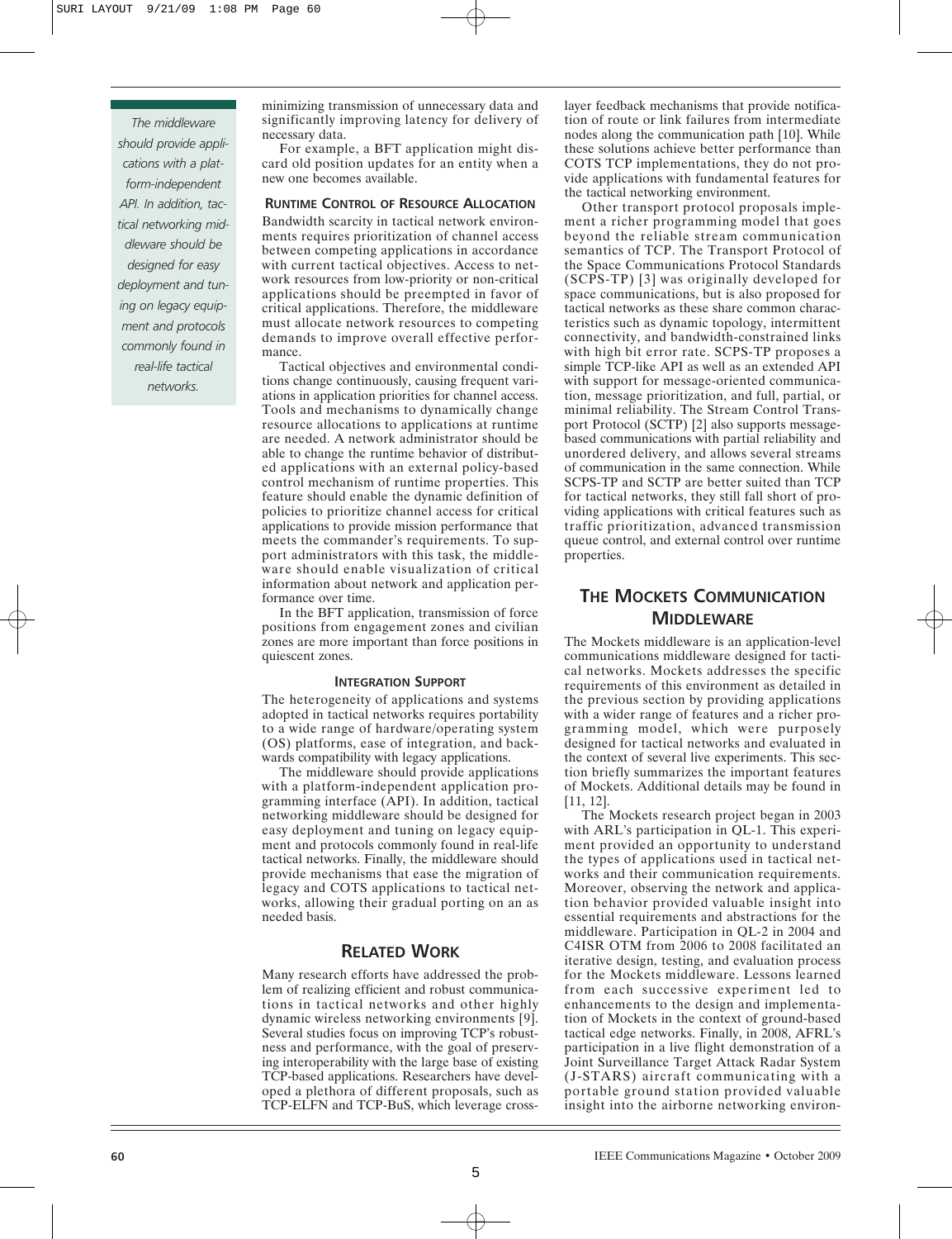*The middleware should provide applications with a platform-independent API. In addition, tactical networking middleware should be designed for easy deployment and tuning on legacy equipment and protocols commonly found in real-life tactical networks.*

minimizing transmission of unnecessary data and significantly improving latency for delivery of necessary data.

For example, a BFT application might discard old position updates for an entity when a new one becomes available.

## **RUNTIME CONTROL OF RESOURCE ALLOCATION**

Bandwidth scarcity in tactical network environments requires prioritization of channel access between competing applications in accordance with current tactical objectives. Access to network resources from low-priority or non-critical applications should be preempted in favor of critical applications. Therefore, the middleware must allocate network resources to competing demands to improve overall effective performance.

Tactical objectives and environmental conditions change continuously, causing frequent variations in application priorities for channel access. Tools and mechanisms to dynamically change resource allocations to applications at runtime are needed. A network administrator should be able to change the runtime behavior of distributed applications with an external policy-based control mechanism of runtime properties. This feature should enable the dynamic definition of policies to prioritize channel access for critical applications to provide mission performance that meets the commander's requirements. To support administrators with this task, the middleware should enable visualization of critical information about network and application performance over time.

In the BFT application, transmission of force positions from engagement zones and civilian zones are more important than force positions in quiescent zones.

#### **INTEGRATION SUPPORT**

The heterogeneity of applications and systems adopted in tactical networks requires portability to a wide range of hardware/operating system (OS) platforms, ease of integration, and backwards compatibility with legacy applications.

The middleware should provide applications with a platform-independent application programming interface (API). In addition, tactical networking middleware should be designed for easy deployment and tuning on legacy equipment and protocols commonly found in real-life tactical networks. Finally, the middleware should provide mechanisms that ease the migration of legacy and COTS applications to tactical networks, allowing their gradual porting on an as needed basis.

# **RELATED WORK**

Many research efforts have addressed the problem of realizing efficient and robust communications in tactical networks and other highly dynamic wireless networking environments [9]. Several studies focus on improving TCP's robustness and performance, with the goal of preserving interoperability with the large base of existing TCP-based applications. Researchers have developed a plethora of different proposals, such as TCP-ELFN and TCP-BuS, which leverage crosslayer feedback mechanisms that provide notification of route or link failures from intermediate nodes along the communication path [10]. While these solutions achieve better performance than COTS TCP implementations, they do not provide applications with fundamental features for the tactical networking environment.

Other transport protocol proposals implement a richer programming model that goes beyond the reliable stream communication semantics of TCP. The Transport Protocol of the Space Communications Protocol Standards (SCPS-TP) [3] was originally developed for space communications, but is also proposed for tactical networks as these share common characteristics such as dynamic topology, intermittent connectivity, and bandwidth-constrained links with high bit error rate. SCPS-TP proposes a simple TCP-like API as well as an extended API with support for message-oriented communication, message prioritization, and full, partial, or minimal reliability. The Stream Control Transport Protocol (SCTP) [2] also supports messagebased communications with partial reliability and unordered delivery, and allows several streams of communication in the same connection. While SCPS-TP and SCTP are better suited than TCP for tactical networks, they still fall short of providing applications with critical features such as traffic prioritization, advanced transmission queue control, and external control over runtime properties.

# **THE MOCKETS COMMUNICATION MIDDLEWARE**

The Mockets middleware is an application-level communications middleware designed for tactical networks. Mockets addresses the specific requirements of this environment as detailed in the previous section by providing applications with a wider range of features and a richer programming model, which were purposely designed for tactical networks and evaluated in the context of several live experiments. This section briefly summarizes the important features of Mockets. Additional details may be found in [11, 12].

The Mockets research project began in 2003 with ARL's participation in QL-1. This experiment provided an opportunity to understand the types of applications used in tactical networks and their communication requirements. Moreover, observing the network and application behavior provided valuable insight into essential requirements and abstractions for the middleware. Participation in QL-2 in 2004 and C4ISR OTM from 2006 to 2008 facilitated an iterative design, testing, and evaluation process for the Mockets middleware. Lessons learned from each successive experiment led to enhancements to the design and implementation of Mockets in the context of ground-based tactical edge networks. Finally, in 2008, AFRL's participation in a live flight demonstration of a Joint Surveillance Target Attack Radar System (J-STARS) aircraft communicating with a portable ground station provided valuable insight into the airborne networking environ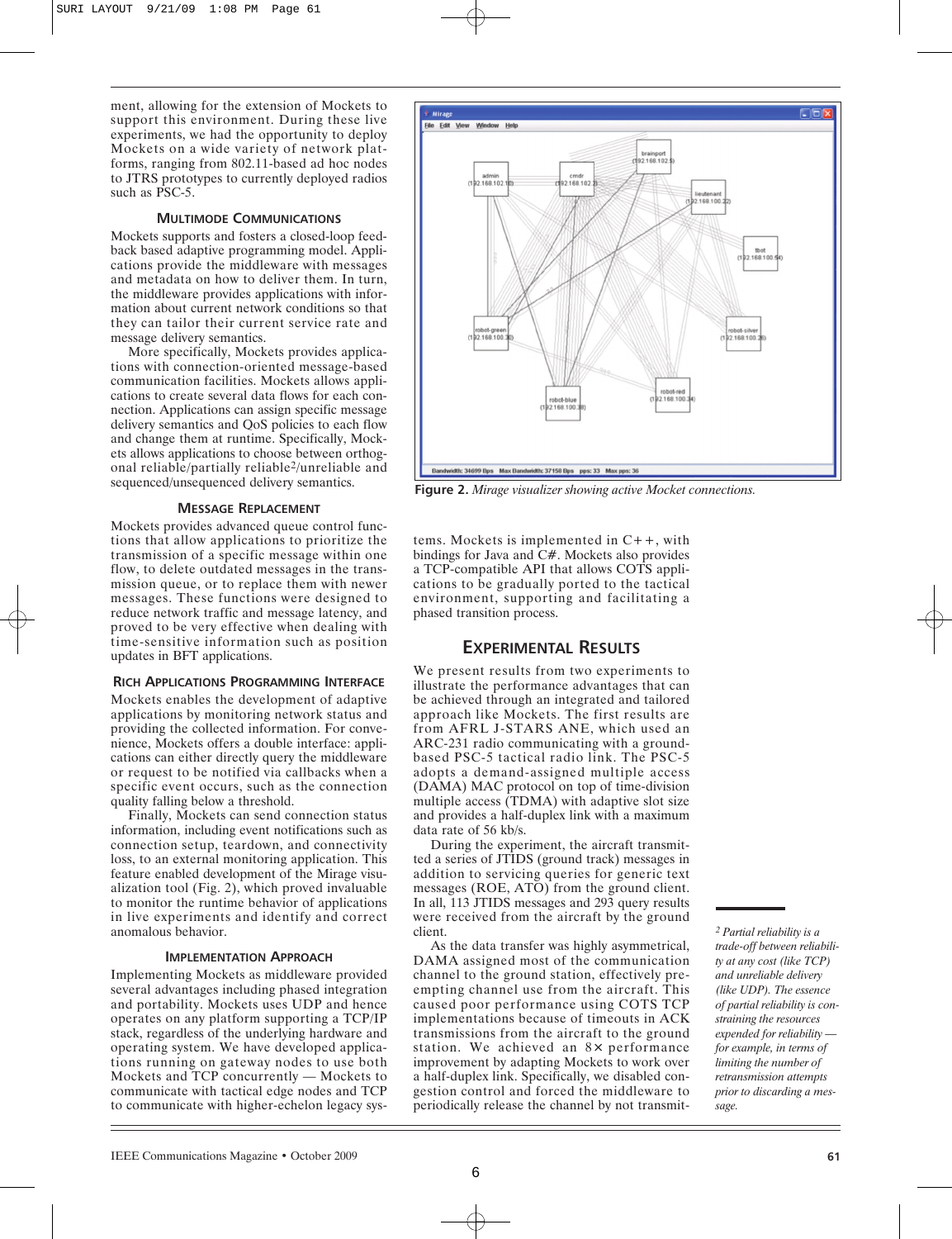ment, allowing for the extension of Mockets to support this environment. During these live experiments, we had the opportunity to deploy Mockets on a wide variety of network platforms, ranging from 802.11-based ad hoc nodes to JTRS prototypes to currently deployed radios such as PSC-5.

## **MULTIMODE COMMUNICATIONS**

Mockets supports and fosters a closed-loop feedback based adaptive programming model. Applications provide the middleware with messages and metadata on how to deliver them. In turn, the middleware provides applications with information about current network conditions so that they can tailor their current service rate and message delivery semantics.

More specifically, Mockets provides applications with connection-oriented message-based communication facilities. Mockets allows applications to create several data flows for each connection. Applications can assign specific message delivery semantics and QoS policies to each flow and change them at runtime. Specifically, Mockets allows applications to choose between orthogonal reliable/partially reliable2/unreliable and sequenced/unsequenced delivery semantics.

#### **MESSAGE REPLACEMENT**

Mockets provides advanced queue control functions that allow applications to prioritize the transmission of a specific message within one flow, to delete outdated messages in the transmission queue, or to replace them with newer messages. These functions were designed to reduce network traffic and message latency, and proved to be very effective when dealing with time-sensitive information such as position updates in BFT applications.

#### **RICH APPLICATIONS PROGRAMMING INTERFACE**

Mockets enables the development of adaptive applications by monitoring network status and providing the collected information. For convenience, Mockets offers a double interface: applications can either directly query the middleware or request to be notified via callbacks when a specific event occurs, such as the connection quality falling below a threshold.

Finally, Mockets can send connection status information, including event notifications such as connection setup, teardown, and connectivity loss, to an external monitoring application. This feature enabled development of the Mirage visualization tool (Fig. 2), which proved invaluable to monitor the runtime behavior of applications in live experiments and identify and correct anomalous behavior.

#### **IMPLEMENTATION APPROACH**

Implementing Mockets as middleware provided several advantages including phased integration and portability. Mockets uses UDP and hence operates on any platform supporting a TCP/IP stack, regardless of the underlying hardware and operating system. We have developed applications running on gateway nodes to use both Mockets and TCP concurrently — Mockets to communicate with tactical edge nodes and TCP to communicate with higher-echelon legacy sys-



**Figure 2.** *Mirage visualizer showing active Mocket connections.*

tems. Mockets is implemented in C++, with bindings for Java and C#. Mockets also provides a TCP-compatible API that allows COTS applications to be gradually ported to the tactical environment, supporting and facilitating a phased transition process.

# **EXPERIMENTAL RESULTS**

We present results from two experiments to illustrate the performance advantages that can be achieved through an integrated and tailored approach like Mockets. The first results are from AFRL J-STARS ANE, which used an ARC-231 radio communicating with a groundbased PSC-5 tactical radio link. The PSC-5 adopts a demand-assigned multiple access (DAMA) MAC protocol on top of time-division multiple access (TDMA) with adaptive slot size and provides a half-duplex link with a maximum data rate of 56 kb/s.

During the experiment, the aircraft transmitted a series of JTIDS (ground track) messages in addition to servicing queries for generic text messages (ROE, ATO) from the ground client. In all, 113 JTIDS messages and 293 query results were received from the aircraft by the ground client.

As the data transfer was highly asymmetrical, DAMA assigned most of the communication channel to the ground station, effectively preempting channel use from the aircraft. This caused poor performance using COTS TCP implementations because of timeouts in ACK transmissions from the aircraft to the ground station. We achieved an 8× performance improvement by adapting Mockets to work over a half-duplex link. Specifically, we disabled congestion control and forced the middleware to periodically release the channel by not transmit-

*<sup>2</sup> Partial reliability is a trade-off between reliability at any cost (like TCP) and unreliable delivery (like UDP). The essence of partial reliability is constraining the resources expended for reliability for example, in terms of limiting the number of retransmission attempts prior to discarding a message.*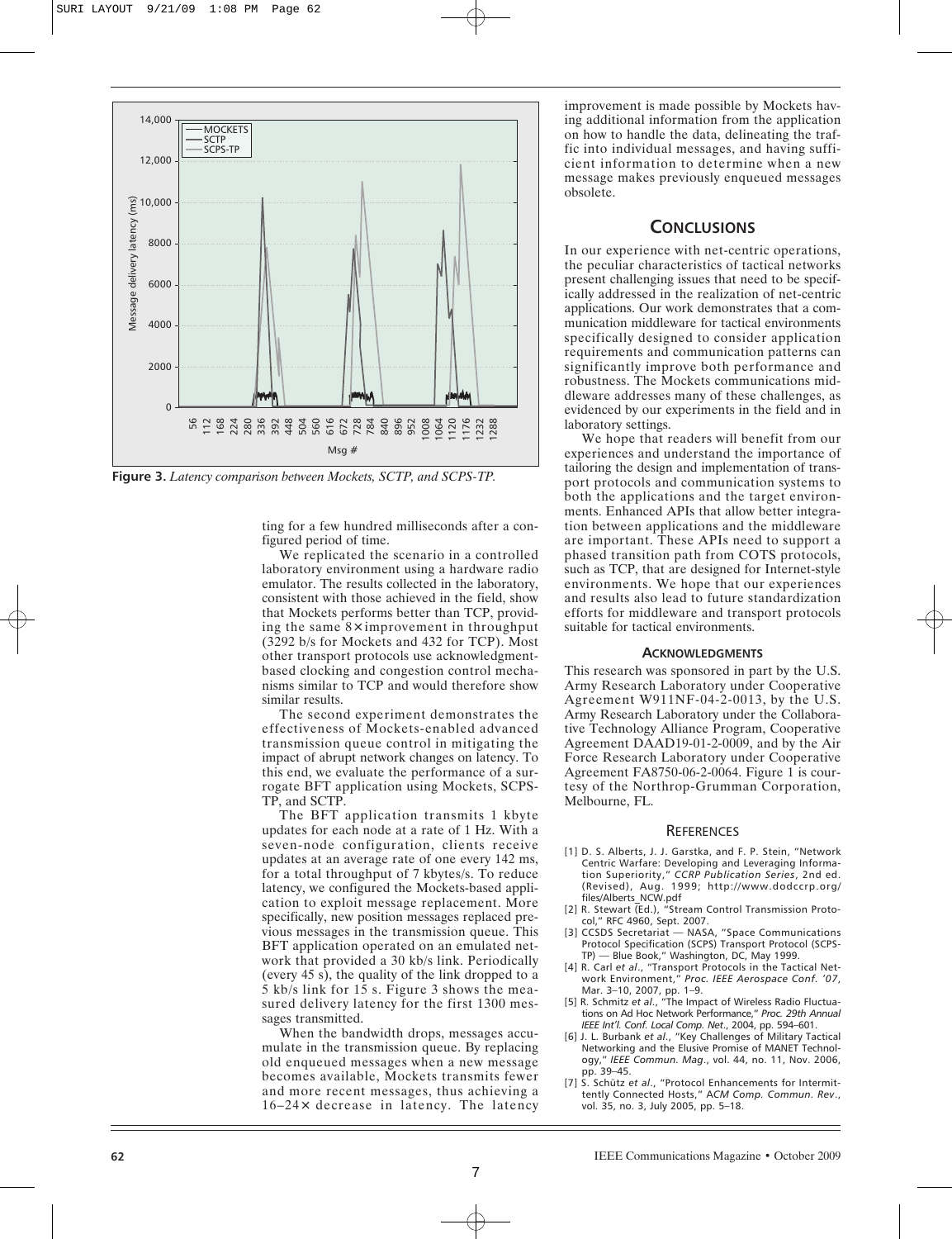

ting for a few hundred milliseconds after a configured period of time.

We replicated the scenario in a controlled laboratory environment using a hardware radio emulator. The results collected in the laboratory, consistent with those achieved in the field, show that Mockets performs better than TCP, providing the same 8× improvement in throughput (3292 b/s for Mockets and 432 for TCP). Most other transport protocols use acknowledgmentbased clocking and congestion control mechanisms similar to TCP and would therefore show similar results.

The second experiment demonstrates the effectiveness of Mockets-enabled advanced transmission queue control in mitigating the impact of abrupt network changes on latency. To this end, we evaluate the performance of a surrogate BFT application using Mockets, SCPS-TP, and SCTP.

The BFT application transmits 1 kbyte updates for each node at a rate of 1 Hz. With a seven-node configuration, clients receive updates at an average rate of one every 142 ms, for a total throughput of 7 kbytes/s. To reduce latency, we configured the Mockets-based application to exploit message replacement. More specifically, new position messages replaced previous messages in the transmission queue. This BFT application operated on an emulated network that provided a 30 kb/s link. Periodically (every 45 s), the quality of the link dropped to a 5 kb/s link for 15 s. Figure 3 shows the measured delivery latency for the first 1300 messages transmitted.

When the bandwidth drops, messages accumulate in the transmission queue. By replacing old enqueued messages when a new message becomes available, Mockets transmits fewer and more recent messages, thus achieving a 16–24× decrease in latency. The latency improvement is made possible by Mockets having additional information from the application on how to handle the data, delineating the traffic into individual messages, and having sufficient information to determine when a new message makes previously enqueued messages obsolete.

# **CONCLUSIONS**

In our experience with net-centric operations, the peculiar characteristics of tactical networks present challenging issues that need to be specifically addressed in the realization of net-centric applications. Our work demonstrates that a communication middleware for tactical environments specifically designed to consider application requirements and communication patterns can significantly improve both performance and robustness. The Mockets communications middleware addresses many of these challenges, as evidenced by our experiments in the field and in laboratory settings.

We hope that readers will benefit from our experiences and understand the importance of tailoring the design and implementation of transport protocols and communication systems to both the applications and the target environments. Enhanced APIs that allow better integration between applications and the middleware are important. These APIs need to support a phased transition path from COTS protocols, such as TCP, that are designed for Internet-style environments. We hope that our experiences and results also lead to future standardization efforts for middleware and transport protocols suitable for tactical environments.

#### **ACKNOWLEDGMENTS**

This research was sponsored in part by the U.S. Army Research Laboratory under Cooperative Agreement W911NF-04-2-0013, by the U.S. Army Research Laboratory under the Collaborative Technology Alliance Program, Cooperative Agreement DAAD19-01-2-0009, and by the Air Force Research Laboratory under Cooperative Agreement FA8750-06-2-0064. Figure 1 is courtesy of the Northrop-Grumman Corporation, Melbourne, FL.

#### **REFERENCES**

- [1] D. S. Alberts, J. J. Garstka, and F. P. Stein, "Network Centric Warfare: Developing and Leveraging Information Superiority," *CCRP Publication Series*, 2nd ed. (Revised), Aug. 1999; <http://www.dodccrp.org/> files/Alberts\_NCW.pdf
- [2] R. Stewart (Ed.), "Stream Control Transmission Protocol," RFC 4960, Sept. 2007.
- [3] CCSDS Secretariat NASA, "Space Communications Protocol Specification (SCPS) Transport Protocol (SCPS-TP) — Blue Book," Washington, DC, May 1999.
- [4] R. Carl *et al*., "Transport Protocols in the Tactical Network Environment," *Proc. IEEE Aerospace Conf. '07*, Mar. 3–10, 2007, pp. 1–9.
- [5] R. Schmitz *et al*., "The Impact of Wireless Radio Fluctuations on Ad Hoc Network Performance," *Proc. 29th Annual IEEE Int'l. Conf. Local Comp. Net*., 2004, pp. 594–601.
- [6] J. L. Burbank *et al*., "Key Challenges of Military Tactical Networking and the Elusive Promise of MANET Technology," *IEEE Commun. Mag*., vol. 44, no. 11, Nov. 2006, pp. 39–45.
- [7] S. Schütz *et al*., "Protocol Enhancements for Intermittently Connected Hosts," A*CM Comp. Commun. Rev*., vol. 35, no. 3, July 2005, pp. 5–18.